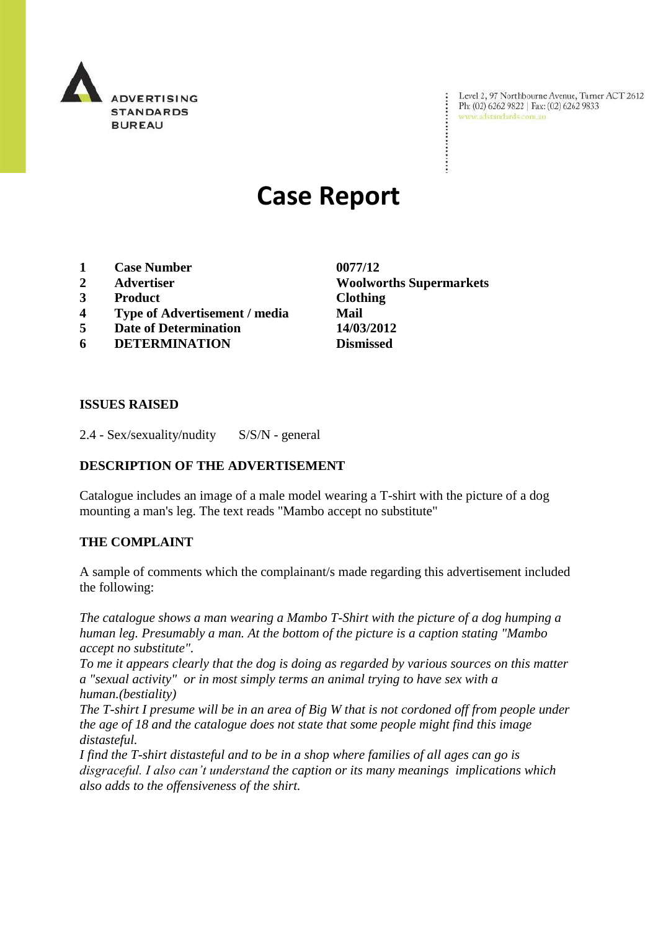

Level 2, 97 Northbourne Avenue, Turner ACT 2612 Level 2, 97 Northbourne Avenue, Turne<br>Ph: (02) 6262 9822 | Fax: (02) 6262 9833 www.adstandards.com.au

# **Case Report**

- **1 Case Number 0077/12**
- 
- **3 Product Clothing**
- **4 Type of Advertisement / media Mail**
- **5 Date of Determination 14/03/2012**
- **6 DETERMINATION Dismissed**

**2 Advertiser Woolworths Supermarkets**

 $\ddot{\cdot}$ 

#### **ISSUES RAISED**

2.4 - Sex/sexuality/nudity S/S/N - general

# **DESCRIPTION OF THE ADVERTISEMENT**

Catalogue includes an image of a male model wearing a T-shirt with the picture of a dog mounting a man's leg. The text reads "Mambo accept no substitute"

## **THE COMPLAINT**

A sample of comments which the complainant/s made regarding this advertisement included the following:

*The catalogue shows a man wearing a Mambo T-Shirt with the picture of a dog humping a human leg. Presumably a man. At the bottom of the picture is a caption stating "Mambo accept no substitute".*

*To me it appears clearly that the dog is doing as regarded by various sources on this matter a "sexual activity" or in most simply terms an animal trying to have sex with a human.(bestiality)*

*The T-shirt I presume will be in an area of Big W that is not cordoned off from people under the age of 18 and the catalogue does not state that some people might find this image distasteful.*

*I find the T-shirt distasteful and to be in a shop where families of all ages can go is disgraceful. I also can't understand the caption or its many meanings implications which also adds to the offensiveness of the shirt.*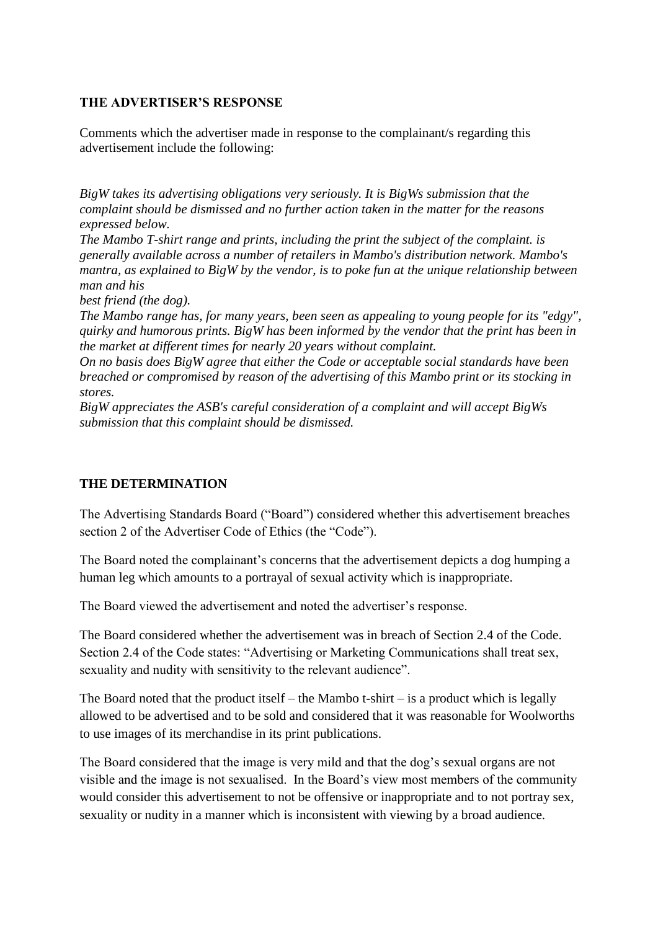# **THE ADVERTISER'S RESPONSE**

Comments which the advertiser made in response to the complainant/s regarding this advertisement include the following:

*BigW takes its advertising obligations very seriously. It is BigWs submission that the complaint should be dismissed and no further action taken in the matter for the reasons expressed below.*

*The Mambo T-shirt range and prints, including the print the subject of the complaint. is generally available across a number of retailers in Mambo's distribution network. Mambo's mantra, as explained to BigW by the vendor, is to poke fun at the unique relationship between man and his*

*best friend (the dog).*

*The Mambo range has, for many years, been seen as appealing to young people for its "edgy", quirky and humorous prints. BigW has been informed by the vendor that the print has been in the market at different times for nearly 20 years without complaint.*

*On no basis does BigW agree that either the Code or acceptable social standards have been breached or compromised by reason of the advertising of this Mambo print or its stocking in stores.*

*BigW appreciates the ASB's careful consideration of a complaint and will accept BigWs submission that this complaint should be dismissed.*

## **THE DETERMINATION**

The Advertising Standards Board ("Board") considered whether this advertisement breaches section 2 of the Advertiser Code of Ethics (the "Code").

The Board noted the complainant's concerns that the advertisement depicts a dog humping a human leg which amounts to a portrayal of sexual activity which is inappropriate.

The Board viewed the advertisement and noted the advertiser's response.

The Board considered whether the advertisement was in breach of Section 2.4 of the Code. Section 2.4 of the Code states: "Advertising or Marketing Communications shall treat sex, sexuality and nudity with sensitivity to the relevant audience".

The Board noted that the product itself – the Mambo t-shirt – is a product which is legally allowed to be advertised and to be sold and considered that it was reasonable for Woolworths to use images of its merchandise in its print publications.

The Board considered that the image is very mild and that the dog's sexual organs are not visible and the image is not sexualised. In the Board's view most members of the community would consider this advertisement to not be offensive or inappropriate and to not portray sex, sexuality or nudity in a manner which is inconsistent with viewing by a broad audience.